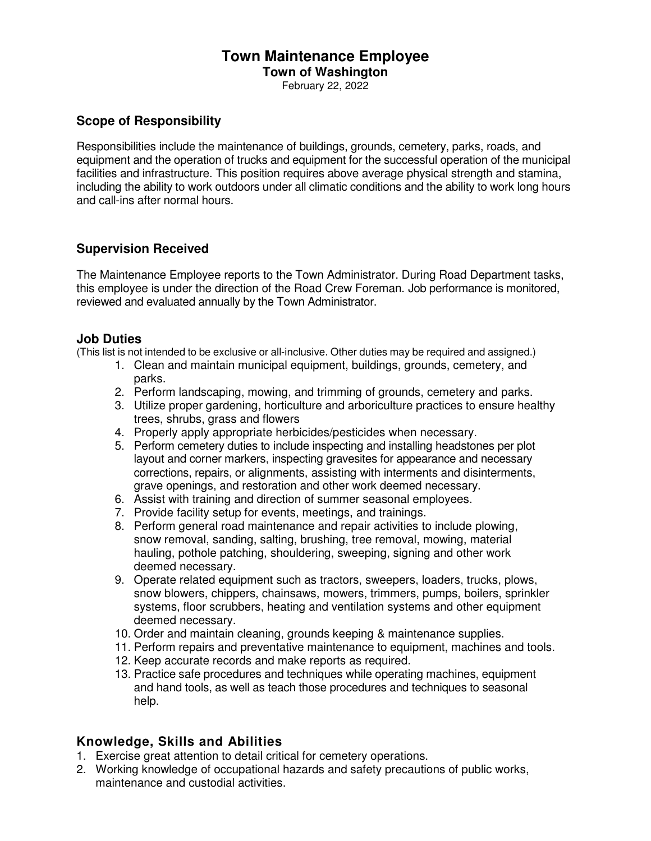#### **Town Maintenance Employee Town of Washington**

February 22, 2022

### **Scope of Responsibility**

Responsibilities include the maintenance of buildings, grounds, cemetery, parks, roads, and equipment and the operation of trucks and equipment for the successful operation of the municipal facilities and infrastructure. This position requires above average physical strength and stamina, including the ability to work outdoors under all climatic conditions and the ability to work long hours and call-ins after normal hours.

# **Supervision Received**

The Maintenance Employee reports to the Town Administrator. During Road Department tasks, this employee is under the direction of the Road Crew Foreman. Job performance is monitored, reviewed and evaluated annually by the Town Administrator.

#### **Job Duties**

(This list is not intended to be exclusive or all-inclusive. Other duties may be required and assigned.)

- 1. Clean and maintain municipal equipment, buildings, grounds, cemetery, and parks.
- 2. Perform landscaping, mowing, and trimming of grounds, cemetery and parks.
- 3. Utilize proper gardening, horticulture and arboriculture practices to ensure healthy trees, shrubs, grass and flowers
- 4. Properly apply appropriate herbicides/pesticides when necessary.
- 5. Perform cemetery duties to include inspecting and installing headstones per plot layout and corner markers, inspecting gravesites for appearance and necessary corrections, repairs, or alignments, assisting with interments and disinterments, grave openings, and restoration and other work deemed necessary.
- 6. Assist with training and direction of summer seasonal employees.
- 7. Provide facility setup for events, meetings, and trainings.
- 8. Perform general road maintenance and repair activities to include plowing, snow removal, sanding, salting, brushing, tree removal, mowing, material hauling, pothole patching, shouldering, sweeping, signing and other work deemed necessary.
- 9. Operate related equipment such as tractors, sweepers, loaders, trucks, plows, snow blowers, chippers, chainsaws, mowers, trimmers, pumps, boilers, sprinkler systems, floor scrubbers, heating and ventilation systems and other equipment deemed necessary.
- 10. Order and maintain cleaning, grounds keeping & maintenance supplies.
- 11. Perform repairs and preventative maintenance to equipment, machines and tools.
- 12. Keep accurate records and make reports as required.
- 13. Practice safe procedures and techniques while operating machines, equipment and hand tools, as well as teach those procedures and techniques to seasonal help.

#### **Knowledge, Skills and Abilities**

- 1. Exercise great attention to detail critical for cemetery operations.
- 2. Working knowledge of occupational hazards and safety precautions of public works, maintenance and custodial activities.